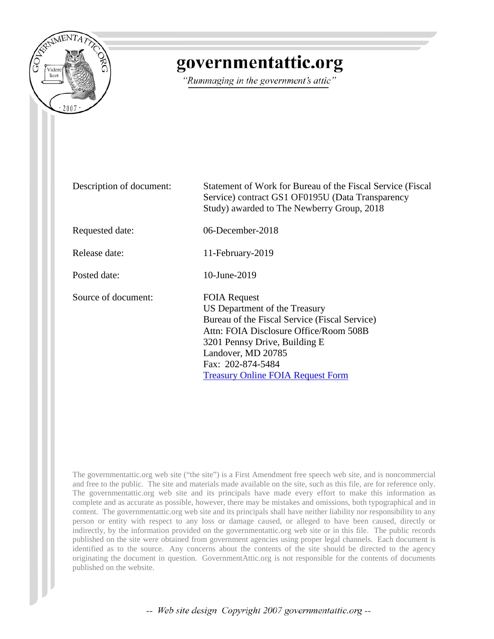

# governmentattic.org

"Rummaging in the government's attic"

Description of document: Statement of Work for Bureau of the Fiscal Service (Fiscal Service) contract GS1 OF0195U (Data Transparency Study) awarded to The Newberry Group, 2018 Requested date: 06-December-2018 Release date: 11-February-2019 Posted date: 10-June-2019 Source of document: FOIA Request US Department of the Treasury Bureau of the Fiscal Service (Fiscal Service) Attn: FOIA Disclosure Office/Room 508B 3201 Pennsy Drive, Building E Landover, MD 20785 Fax: [202-874-5484](tel:+12028745484) [Treasury Online FOIA Request Form](https://www.treasury.gov/foia/pages/gofoia.aspx)

The governmentattic.org web site ("the site") is a First Amendment free speech web site, and is noncommercial and free to the public. The site and materials made available on the site, such as this file, are for reference only. The governmentattic.org web site and its principals have made every effort to make this information as complete and as accurate as possible, however, there may be mistakes and omissions, both typographical and in content. The governmentattic.org web site and its principals shall have neither liability nor responsibility to any person or entity with respect to any loss or damage caused, or alleged to have been caused, directly or indirectly, by the information provided on the governmentattic.org web site or in this file. The public records published on the site were obtained from government agencies using proper legal channels. Each document is identified as to the source. Any concerns about the contents of the site should be directed to the agency originating the document in question. GovernmentAttic.org is not responsible for the contents of documents published on the website.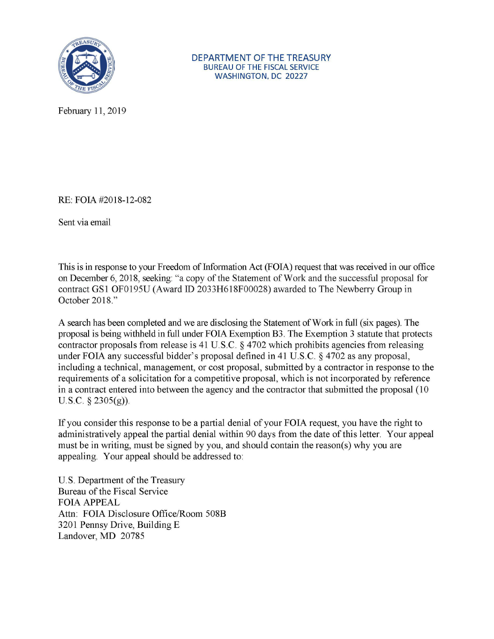

February 11, 2019

RE: FOIA #2018-12-082

Sent via email

This is in response to your Freedom of Information Act (FOIA) request that was received in our office on December 6, 2018, seeking: "a copy of the Statement of Work and the successful proposal for contract GSl OF0195U (Award ID 2033H618F00028) awarded to The Newberry Group in October 2018."

A search has been completed and we are disclosing the Statement of Work in full (six pages). The proposal is being withheld in full under FOIA Exemption B3. The Exemption 3 statute that protects contractor proposals from release is 41 U.S.C. § 4702 which prohibits agencies from releasing under FOIA any successful bidder's proposal defined in 41 U.S.C. § 4702 as any proposal, including a technical, management, or cost proposal, submitted by a contractor in response to the requirements of a solicitation for a competitive proposal, which is not incorporated by reference in a contract entered into between the agency and the contractor that submitted the proposal (10 U.S.C. § 2305(g)).

If you consider this response to be a partial denial of your FOIA request, you have the right to administratively appeal the partial denial within 90 days from the date of this letter. Your appeal must be in writing, must be signed by you, and should contain the reason(s) why you are appealing. Your appeal should be addressed to:

U.S. Department of the Treasury Bureau of the Fiscal Service FOIA APPEAL Attn: FOIA Disclosure Office/Room 508B 3201 Pennsy Drive, Building E Landover, MD 20785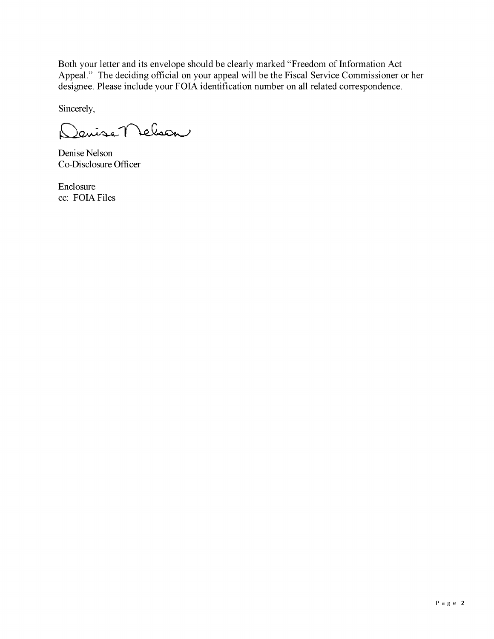Both your letter and its envelope should be clearly marked "Freedom of Information Act Appeal." The deciding official on your appeal will be the Fiscal Service Commissioner or her designee. Please include your FOIA identification number on all related correspondence.

Sincerely,

Janise Nelson  $\sum$ 

Denise Nelson Co-Disclosure Officer

Enclosure cc: FOIA Files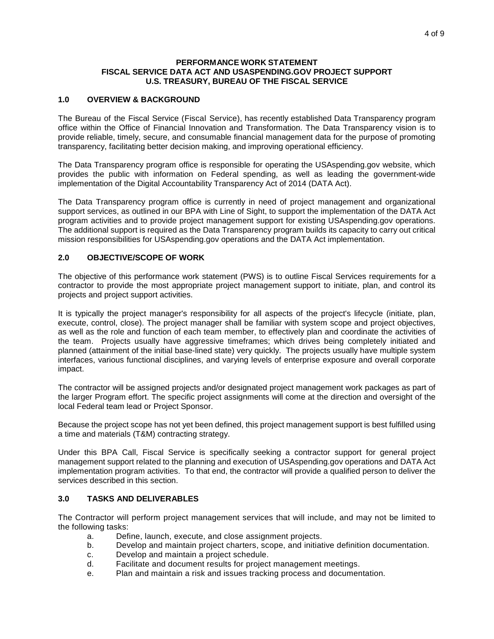#### **PERFORMANCE WORK STATEMENT FISCAL SERVICE DATA ACT AND USASPENDING.GOV PROJECT SUPPORT U.S. TREASURY, BUREAU OF THE FISCAL SERVICE**

## **1.0 OVERVIEW & BACKGROUND**

The Bureau of the Fiscal Service (Fiscal Service), has recently established Data Transparency program office within the Office of Financial Innovation and Transformation. The Data Transparency vision is to provide reliable, timely, secure, and consumable financial management data for the purpose of promoting transparency, facilitating better decision making, and improving operational efficiency.

The Data Transparency program office is responsible for operating the USAspending.gov website, which provides the public with information on Federal spending, as well as leading the government-wide implementation of the Digital Accountability Transparency Act of 2014 (DATA Act).

The Data Transparency program office is currently in need of project management and organizational support services, as outlined in our BPA with Line of Sight, to support the implementation of the DATA Act program activities and to provide project management support for existing USAspending.gov operations. The additional support is required as the Data Transparency program builds its capacity to carry out critical mission responsibilities for USAspending.gov operations and the DATA Act implementation.

## **2.0 OBJECTIVE/SCOPE OF WORK**

The objective of this performance work statement (PWS) is to outline Fiscal Services requirements for a contractor to provide the most appropriate project management support to initiate, plan, and control its projects and project support activities.

It is typically the project manager's responsibility for all aspects of the project's lifecycle (initiate, plan, execute, control, close). The project manager shall be familiar with system scope and project objectives, as well as the role and function of each team member, to effectively plan and coordinate the activities of the team. Projects usually have aggressive timeframes; which drives being completely initiated and planned (attainment of the initial base-lined state) very quickly. The projects usually have multiple system interfaces, various functional disciplines, and varying levels of enterprise exposure and overall corporate impact.

The contractor will be assigned projects and/or designated project management work packages as part of the larger Program effort. The specific project assignments will come at the direction and oversight of the local Federal team lead or Project Sponsor.

Because the project scope has not yet been defined, this project management support is best fulfilled using a time and materials (T&M) contracting strategy.

Under this BPA Call, Fiscal Service is specifically seeking a contractor support for general project management support related to the planning and execution of USAspending.gov operations and DATA Act implementation program activities. To that end, the contractor will provide a qualified person to deliver the services described in this section.

#### **3.0 TASKS AND DELIVERABLES**

The Contractor will perform project management services that will include, and may not be limited to the following tasks:

- a. Define, launch, execute, and close assignment projects.
- b. Develop and maintain project charters, scope, and initiative definition documentation.
- c. Develop and maintain a project schedule.
- d. Facilitate and document results for project management meetings.
- e. Plan and maintain a risk and issues tracking process and documentation.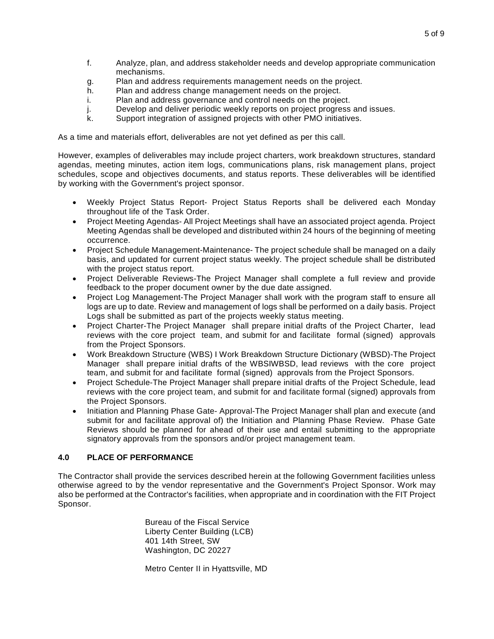- f. Analyze, plan, and address stakeholder needs and develop appropriate communication mechanisms.
- g. Plan and address requirements management needs on the project.
- h. Plan and address change management needs on the project.
- i. Plan and address governance and control needs on the project.
- j. Develop and deliver periodic weekly reports on project progress and issues.
- k. Support integration of assigned projects with other PMO initiatives.

As a time and materials effort, deliverables are not yet defined as per this call.

However, examples of deliverables may include project charters, work breakdown structures, standard agendas, meeting minutes, action item logs, communications plans, risk management plans, project schedules, scope and objectives documents, and status reports. These deliverables will be identified by working with the Government's project sponsor.

- Weekly Project Status Report- Project Status Reports shall be delivered each Monday throughout life of the Task Order.
- Project Meeting Agendas- All Project Meetings shall have an associated project agenda. Project Meeting Agendas shall be developed and distributed within 24 hours of the beginning of meeting occurrence.
- Project Schedule Management-Maintenance- The project schedule shall be managed on a daily basis, and updated for current project status weekly. The project schedule shall be distributed with the project status report.
- Project Deliverable Reviews-The Project Manager shall complete a full review and provide feedback to the proper document owner by the due date assigned.
- Project Log Management-The Project Manager shall work with the program staff to ensure all logs are up to date. Review and management of logs shall be performed on a daily basis. Project Logs shall be submitted as part of the projects weekly status meeting.
- Project Charter-The Project Manager shall prepare initial drafts of the Project Charter, lead reviews with the core project team, and submit for and facilitate formal (signed) approvals from the Project Sponsors.
- Work Breakdown Structure (WBS) I Work Breakdown Structure Dictionary (WBSD)-The Project Manager shall prepare initial drafts of the WBSIWBSD, lead reviews with the core project team, and submit for and facilitate formal (signed) approvals from the Project Sponsors.
- Project Schedule-The Project Manager shall prepare initial drafts of the Project Schedule, lead reviews with the core project team, and submit for and facilitate formal (signed) approvals from the Project Sponsors.
- Initiation and Planning Phase Gate- Approval-The Project Manager shall plan and execute (and submit for and facilitate approval of) the Initiation and Planning Phase Review. Phase Gate Reviews should be planned for ahead of their use and entail submitting to the appropriate signatory approvals from the sponsors and/or project management team.

## **4.0 PLACE OF PERFORMANCE**

The Contractor shall provide the services described herein at the following Government facilities unless otherwise agreed to by the vendor representative and the Government's Project Sponsor. Work may also be performed at the Contractor's facilities, when appropriate and in coordination with the FIT Project Sponsor.

> Bureau of the Fiscal Service Liberty Center Building (LCB) 401 14th Street, SW Washington, DC 20227

Metro Center II in Hyattsville, MD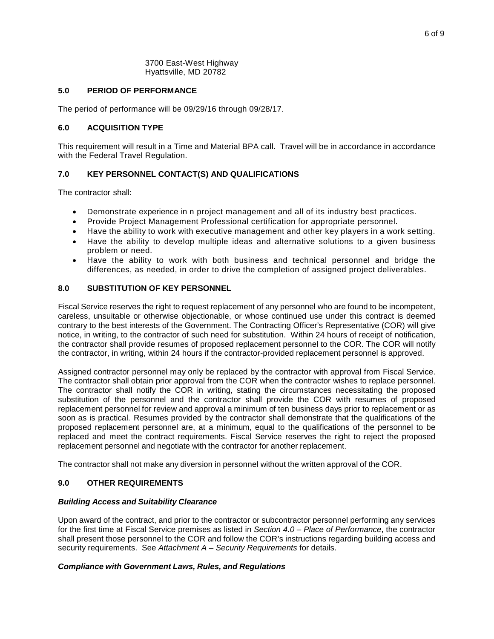#### 3700 East-West Highway Hyattsville, MD 20782

## **5.0 PERIOD OF PERFORMANCE**

The period of performance will be 09/29/16 through 09/28/17.

## **6.0 ACQUISITION TYPE**

This requirement will result in a Time and Material BPA call. Travel will be in accordance in accordance with the Federal Travel Regulation.

## **7.0 KEY PERSONNEL CONTACT(S) AND QUALIFICATIONS**

The contractor shall:

- Demonstrate experience in n project management and all of its industry best practices.
- Provide Project Management Professional certification for appropriate personnel.
- Have the ability to work with executive management and other key players in a work setting.
- Have the ability to develop multiple ideas and alternative solutions to a given business problem or need.
- Have the ability to work with both business and technical personnel and bridge the differences, as needed, in order to drive the completion of assigned project deliverables.

## **8.0 SUBSTITUTION OF KEY PERSONNEL**

Fiscal Service reserves the right to request replacement of any personnel who are found to be incompetent, careless, unsuitable or otherwise objectionable, or whose continued use under this contract is deemed contrary to the best interests of the Government. The Contracting Officer's Representative (COR) will give notice, in writing, to the contractor of such need for substitution. Within 24 hours of receipt of notification, the contractor shall provide resumes of proposed replacement personnel to the COR. The COR will notify the contractor, in writing, within 24 hours if the contractor-provided replacement personnel is approved.

Assigned contractor personnel may only be replaced by the contractor with approval from Fiscal Service. The contractor shall obtain prior approval from the COR when the contractor wishes to replace personnel. The contractor shall notify the COR in writing, stating the circumstances necessitating the proposed substitution of the personnel and the contractor shall provide the COR with resumes of proposed replacement personnel for review and approval a minimum of ten business days prior to replacement or as soon as is practical. Resumes provided by the contractor shall demonstrate that the qualifications of the proposed replacement personnel are, at a minimum, equal to the qualifications of the personnel to be replaced and meet the contract requirements. Fiscal Service reserves the right to reject the proposed replacement personnel and negotiate with the contractor for another replacement.

The contractor shall not make any diversion in personnel without the written approval of the COR.

## **9.0 OTHER REQUIREMENTS**

#### *Building Access and Suitability Clearance*

Upon award of the contract, and prior to the contractor or subcontractor personnel performing any services for the first time at Fiscal Service premises as listed in *Section 4.0 – Place of Performance*, the contractor shall present those personnel to the COR and follow the COR's instructions regarding building access and security requirements. See *Attachment A – Security Requirements* for details.

## *Compliance with Government Laws, Rules, and Regulations*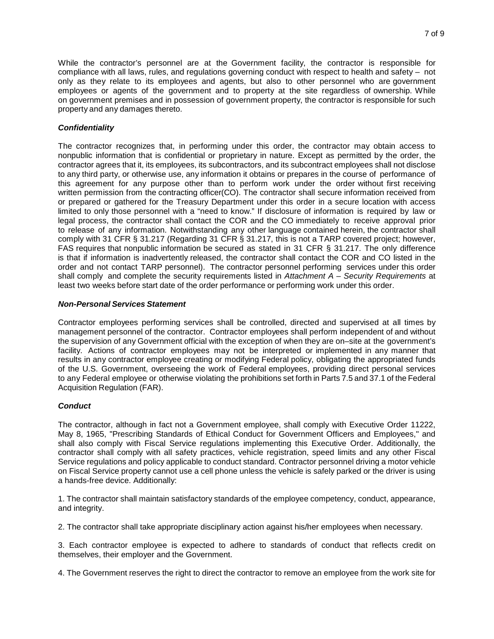While the contractor's personnel are at the Government facility, the contractor is responsible for compliance with all laws, rules, and regulations governing conduct with respect to health and safety – not only as they relate to its employees and agents, but also to other personnel who are government employees or agents of the government and to property at the site regardless of ownership. While on government premises and in possession of government property, the contractor is responsible for such property and any damages thereto.

## *Confidentiality*

The contractor recognizes that, in performing under this order, the contractor may obtain access to nonpublic information that is confidential or proprietary in nature. Except as permitted by the order, the contractor agrees that it, its employees, its subcontractors, and its subcontract employees shall not disclose to any third party, or otherwise use, any information it obtains or prepares in the course of performance of this agreement for any purpose other than to perform work under the order without first receiving written permission from the contracting officer(CO). The contractor shall secure information received from or prepared or gathered for the Treasury Department under this order in a secure location with access limited to only those personnel with a "need to know." If disclosure of information is required by law or legal process, the contractor shall contact the COR and the CO immediately to receive approval prior to release of any information. Notwithstanding any other language contained herein, the contractor shall comply with 31 CFR § 31.217 (Regarding 31 CFR § 31.217, this is not a TARP covered project; however, FAS requires that nonpublic information be secured as stated in 31 CFR § 31.217. The only difference is that if information is inadvertently released, the contractor shall contact the COR and CO listed in the order and not contact TARP personnel). The contractor personnel performing services under this order shall comply and complete the security requirements listed in *Attachment A – Security Requirements* at least two weeks before start date of the order performance or performing work under this order.

## *Non-Personal Services Statement*

Contractor employees performing services shall be controlled, directed and supervised at all times by management personnel of the contractor. Contractor employees shall perform independent of and without the supervision of any Government official with the exception of when they are on–site at the government's facility. Actions of contractor employees may not be interpreted or implemented in any manner that results in any contractor employee creating or modifying Federal policy, obligating the appropriated funds of the U.S. Government, overseeing the work of Federal employees, providing direct personal services to any Federal employee or otherwise violating the prohibitions set forth in Parts 7.5 and 37.1 of the Federal Acquisition Regulation (FAR).

# *Conduct*

The contractor, although in fact not a Government employee, shall comply with Executive Order 11222, May 8, 1965, "Prescribing Standards of Ethical Conduct for Government Officers and Employees," and shall also comply with Fiscal Service regulations implementing this Executive Order. Additionally, the contractor shall comply with all safety practices, vehicle registration, speed limits and any other Fiscal Service regulations and policy applicable to conduct standard. Contractor personnel driving a motor vehicle on Fiscal Service property cannot use a cell phone unless the vehicle is safely parked or the driver is using a hands-free device. Additionally:

1. The contractor shall maintain satisfactory standards of the employee competency, conduct, appearance, and integrity.

2. The contractor shall take appropriate disciplinary action against his/her employees when necessary.

3. Each contractor employee is expected to adhere to standards of conduct that reflects credit on themselves, their employer and the Government.

4. The Government reserves the right to direct the contractor to remove an employee from the work site for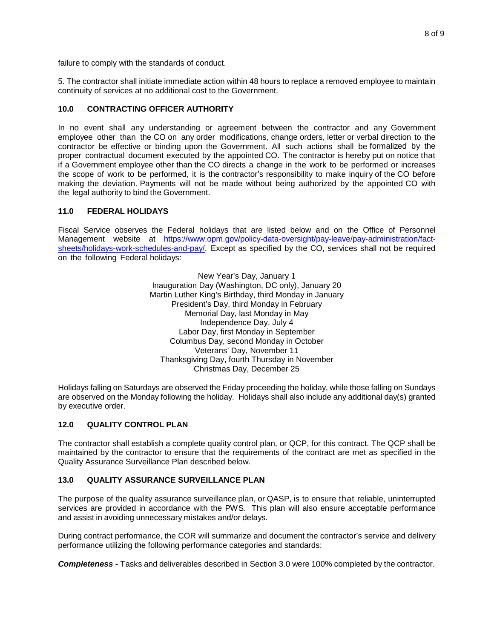failure to comply with the standards of conduct.

5. The contractor shall initiate immediate action within 48 hours to replace a removed employee to maintain continuity of services at no additional cost to the Government.

## **10.0 CONTRACTING OFFICER AUTHORITY**

In no event shall any understanding or agreement between the contractor and any Government employee other than the CO on any order modifications, change orders, letter or verbal direction to the contractor be effective or binding upon the Government. All such actions shall be formalized by the proper contractual document executed by the appointed CO. The contractor is hereby put on notice that if a Government employee other than the CO directs a change in the work to be performed or increases the scope of work to be performed, it is the contractor's responsibility to make inquiry of the CO before making the deviation. Payments will not be made without being authorized by the appointed CO with the legal authority to bind the Government.

## **11.0 FEDERAL HOLIDAYS**

Fiscal Service observes the Federal holidays that are listed below and on the Office of Personnel Management website at [https://www.opm.gov/policy-data-oversight/pay-leave/pay-administration/fact](https://www.opm.gov/policy-data-oversight/pay-leave/pay-administration/fact-sheets/holidays-work-schedules-and-pay/)[sheets/holidays-work-schedules-and-pay/.](https://www.opm.gov/policy-data-oversight/pay-leave/pay-administration/fact-sheets/holidays-work-schedules-and-pay/) Except as specified by the CO, services shall not be required on the following Federal holidays:

> New Year's Day, January 1 Inauguration Day (Washington, DC only), January 20 Martin Luther King's Birthday, third Monday in January President's Day, third Monday in February Memorial Day, last Monday in May Independence Day, July 4 Labor Day, first Monday in September Columbus Day, second Monday in October Veterans' Day, November 11 Thanksgiving Day, fourth Thursday in November Christmas Day, December 25

Holidays falling on Saturdays are observed the Friday proceeding the holiday, while those falling on Sundays are observed on the Monday following the holiday. Holidays shall also include any additional day(s) granted by executive order.

#### **12.0 QUALITY CONTROL PLAN**

The contractor shall establish a complete quality control plan, or QCP, for this contract. The QCP shall be maintained by the contractor to ensure that the requirements of the contract are met as specified in the Quality Assurance Surveillance Plan described below.

## **13.0 QUALITY ASSURANCE SURVEILLANCE PLAN**

The purpose of the quality assurance surveillance plan, or QASP, is to ensure that reliable, uninterrupted services are provided in accordance with the PWS. This plan will also ensure acceptable performance and assist in avoiding unnecessary mistakes and/or delays.

During contract performance, the COR will summarize and document the contractor's service and delivery performance utilizing the following performance categories and standards:

*Completeness -* Tasks and deliverables described in Section 3.0 were 100% completed by the contractor.